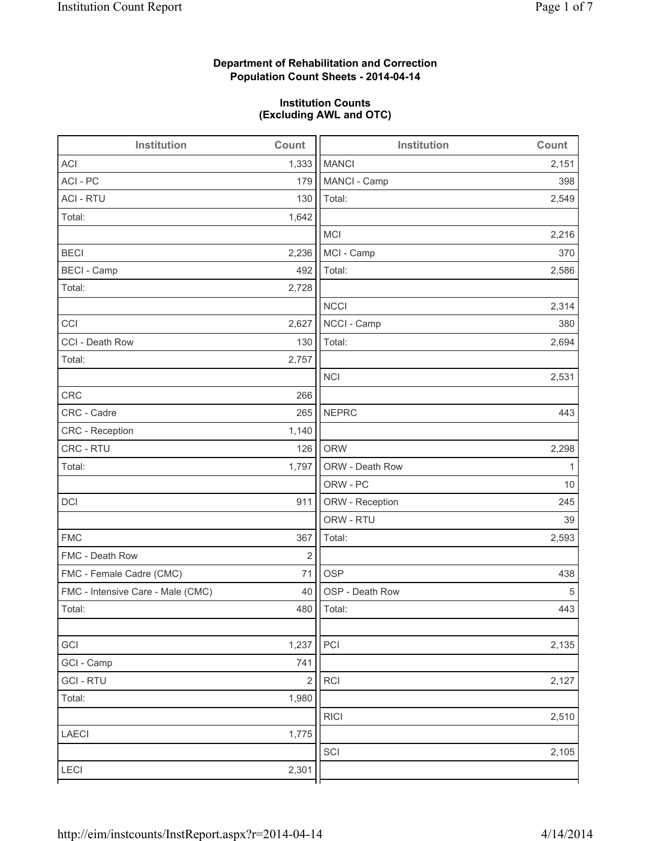### **Department of Rehabilitation and Correction Population Count Sheets - 2014-04-14**

#### **Institution Counts (Excluding AWL and OTC)**

| Institution                       | Count          | Institution     | Count |
|-----------------------------------|----------------|-----------------|-------|
| <b>ACI</b>                        | 1,333          | <b>MANCI</b>    | 2,151 |
| ACI - PC                          | 179            | MANCI - Camp    | 398   |
| <b>ACI - RTU</b>                  | 130            | Total:          | 2,549 |
| Total:                            | 1,642          |                 |       |
|                                   |                | MCI             | 2,216 |
| <b>BECI</b>                       | 2,236          | MCI - Camp      | 370   |
| <b>BECI</b> - Camp                | 492            | Total:          | 2,586 |
| Total:                            | 2,728          |                 |       |
|                                   |                | <b>NCCI</b>     | 2,314 |
| CCI                               | 2,627          | NCCI - Camp     | 380   |
| CCI - Death Row                   | 130            | Total:          | 2,694 |
| Total:                            | 2,757          |                 |       |
|                                   |                | <b>NCI</b>      | 2,531 |
| <b>CRC</b>                        | 266            |                 |       |
| CRC - Cadre                       | 265            | <b>NEPRC</b>    | 443   |
| CRC - Reception                   | 1,140          |                 |       |
| CRC - RTU                         | 126            | <b>ORW</b>      | 2,298 |
| Total:                            | 1,797          | ORW - Death Row | 1     |
|                                   |                | ORW - PC        | 10    |
| DCI                               | 911            | ORW - Reception | 245   |
|                                   |                | ORW - RTU       | 39    |
| <b>FMC</b>                        | 367            | Total:          | 2,593 |
| FMC - Death Row                   | $\overline{2}$ |                 |       |
| FMC - Female Cadre (CMC)          | 71             | <b>OSP</b>      | 438   |
| FMC - Intensive Care - Male (CMC) | 40             | OSP - Death Row | 5     |
| Total:                            |                | 480   Total:    | 443   |
|                                   |                |                 |       |
| GCI                               | 1,237          | PCI             | 2,135 |
| GCI - Camp                        | 741            |                 |       |
| <b>GCI-RTU</b>                    | $\sqrt{2}$     | <b>RCI</b>      | 2,127 |
| Total:                            | 1,980          |                 |       |
|                                   |                | <b>RICI</b>     | 2,510 |
| <b>LAECI</b>                      | 1,775          |                 |       |
|                                   |                | SCI             | 2,105 |
| LECI                              | 2,301          |                 |       |
|                                   |                |                 |       |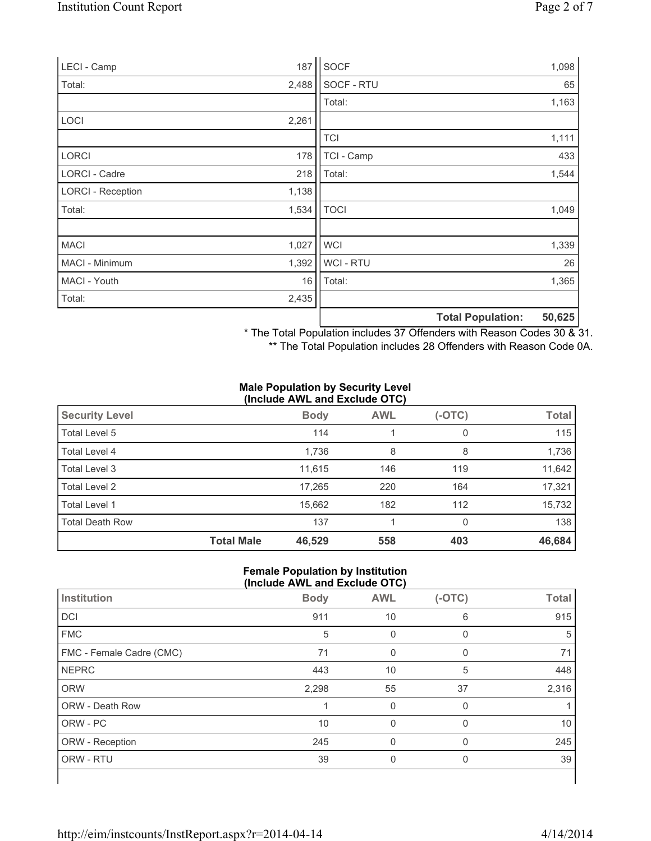| LECI - Camp              |       | 187 SOCF       |                          | 1,098  |
|--------------------------|-------|----------------|--------------------------|--------|
| Total:                   | 2,488 | SOCF - RTU     |                          | 65     |
|                          |       | Total:         |                          | 1,163  |
| LOCI                     | 2,261 |                |                          |        |
|                          |       | <b>TCI</b>     |                          | 1,111  |
| <b>LORCI</b>             | 178   | TCI - Camp     |                          | 433    |
| LORCI - Cadre            | 218   | Total:         |                          | 1,544  |
| <b>LORCI - Reception</b> | 1,138 |                |                          |        |
| Total:                   | 1,534 | <b>TOCI</b>    |                          | 1,049  |
|                          |       |                |                          |        |
| <b>MACI</b>              | 1,027 | <b>WCI</b>     |                          | 1,339  |
| MACI - Minimum           | 1,392 | <b>WCI-RTU</b> |                          | 26     |
| MACI - Youth             | 16    | Total:         |                          | 1,365  |
| Total:                   | 2,435 |                |                          |        |
|                          |       |                | <b>Total Population:</b> | 50,625 |

\* The Total Population includes 37 Offenders with Reason Codes 30 & 31.

\*\* The Total Population includes 28 Offenders with Reason Code 0A.

#### **Male Population by Security Level (Include AWL and Exclude OTC)**

| <b>Security Level</b>  |                   | <b>Body</b> | <b>AWL</b> | (-OTC) | <b>Total</b> |  |  |
|------------------------|-------------------|-------------|------------|--------|--------------|--|--|
| Total Level 5          |                   | 114         |            | 0      | 115          |  |  |
| Total Level 4          |                   | 1,736       | 8          | 8      | 1,736        |  |  |
| Total Level 3          |                   | 11.615      | 146        | 119    | 11,642       |  |  |
| Total Level 2          |                   | 17,265      | 220        | 164    | 17,321       |  |  |
| Total Level 1          |                   | 15,662      | 182        | 112    | 15,732       |  |  |
| <b>Total Death Row</b> |                   | 137         |            | 0      | 138          |  |  |
|                        | <b>Total Male</b> | 46,529      | 558        | 403    | 46,684       |  |  |

#### **Female Population by Institution (Include AWL and Exclude OTC)**

| Institution              | <b>Body</b> | <b>AWL</b> | $(-OTC)$     | <b>Total</b> |
|--------------------------|-------------|------------|--------------|--------------|
| DCI                      | 911         | 10         | 6            | 915          |
| <b>FMC</b>               | 5           | 0          | $\mathbf{0}$ | 5            |
| FMC - Female Cadre (CMC) | 71          | 0          |              | 71           |
| <b>NEPRC</b>             | 443         | 10         | 5            | 448          |
| <b>ORW</b>               | 2,298       | 55         | 37           | 2,316        |
| <b>ORW - Death Row</b>   |             | $\Omega$   | $\Omega$     |              |
| ORW - PC                 | 10          | $\Omega$   | $\Omega$     | 10           |
| ORW - Reception          | 245         | 0          | $\Omega$     | 245          |
| ORW - RTU                | 39          | 0          | 0            | 39           |
|                          |             |            |              |              |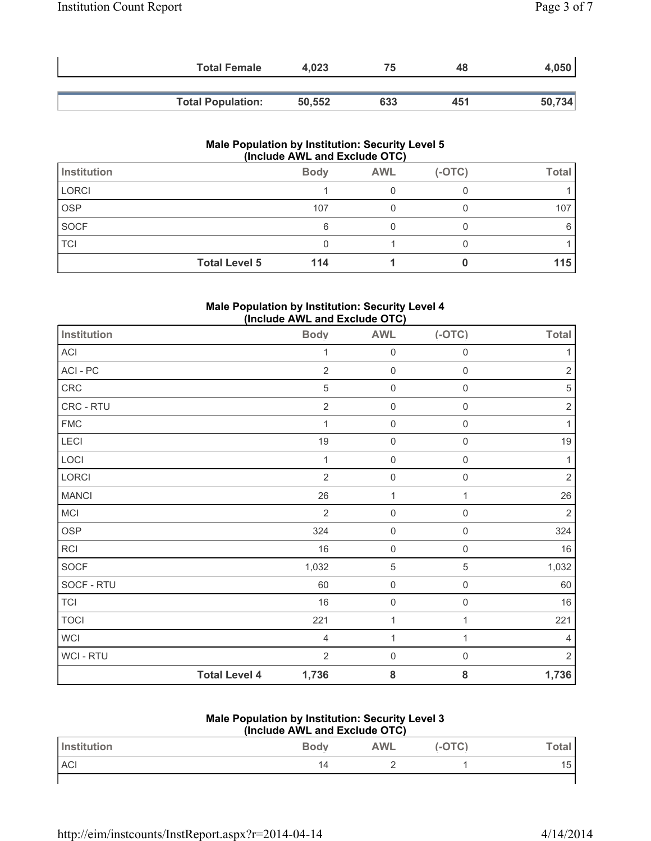| <b>Total Female</b>      | 4.023  | 75  | 48  | 4,050  |
|--------------------------|--------|-----|-----|--------|
|                          |        |     |     |        |
| <b>Total Population:</b> | 50,552 | 633 | 451 | 50,734 |

| <b>Male Population by Institution: Security Level 5</b><br>(Include AWL and Exclude OTC) |                      |             |            |          |              |
|------------------------------------------------------------------------------------------|----------------------|-------------|------------|----------|--------------|
| <b>Institution</b>                                                                       |                      | <b>Body</b> | <b>AWL</b> | $(-OTC)$ | <b>Total</b> |
| <b>LORCI</b>                                                                             |                      |             |            |          |              |
| <b>OSP</b>                                                                               |                      | 107         |            |          | 107          |
| <b>SOCF</b>                                                                              |                      | 6           |            |          |              |
| <b>TCI</b>                                                                               |                      |             |            |          |              |
|                                                                                          | <b>Total Level 5</b> | 114         |            |          | 115          |

#### **Male Population by Institution: Security Level 4 (Include AWL and Exclude OTC)**

| <b>Institution</b>         |                      | <b>Body</b>    | <b>AWL</b>          | $(-OTC)$            | <b>Total</b>   |
|----------------------------|----------------------|----------------|---------------------|---------------------|----------------|
| $\boldsymbol{\mathsf{AC}}$ |                      | 1              | $\mathsf 0$         | $\mathsf 0$         | $\mathbf{1}$   |
| ACI - PC                   |                      | $\sqrt{2}$     | $\mathsf 0$         | $\mathsf 0$         | $\sqrt{2}$     |
| ${\sf CRC}$                |                      | 5              | $\mathsf 0$         | $\mathsf{O}\xspace$ | 5              |
| CRC - RTU                  |                      | $\overline{2}$ | $\mathsf{O}\xspace$ | $\mathsf 0$         | $\overline{2}$ |
| ${\sf FMC}$                |                      | $\mathbf{1}$   | $\mathbf 0$         | 0                   | $\mathbf{1}$   |
| LECI                       |                      | 19             | $\mathsf 0$         | $\mathsf 0$         | $19$           |
| LOCI                       |                      | $\mathbf{1}$   | $\mathbf 0$         | $\mathsf{O}\xspace$ | $\mathbf{1}$   |
| LORCI                      |                      | $\sqrt{2}$     | $\mathsf 0$         | $\mathsf{O}\xspace$ | $\sqrt{2}$     |
| <b>MANCI</b>               |                      | 26             | 1                   | $\mathbf 1$         | 26             |
| MCI                        |                      | $\overline{2}$ | $\mathsf{O}\xspace$ | 0                   | $\overline{2}$ |
| <b>OSP</b>                 |                      | 324            | $\mathsf 0$         | $\mathsf 0$         | 324            |
| RCI                        |                      | 16             | $\mathsf{O}\xspace$ | $\mathsf 0$         | 16             |
| SOCF                       |                      | 1,032          | $\,$ 5 $\,$         | $\sqrt{5}$          | 1,032          |
| SOCF - RTU                 |                      | 60             | $\mathsf 0$         | $\mathsf{O}\xspace$ | 60             |
| <b>TCI</b>                 |                      | 16             | $\mathsf 0$         | $\mathsf 0$         | $16\,$         |
| <b>TOCI</b>                |                      | 221            | $\mathbf 1$         | $\mathbf{1}$        | 221            |
| <b>WCI</b>                 |                      | 4              | $\mathbf 1$         | 1                   | 4              |
| WCI - RTU                  |                      | $\overline{2}$ | $\mathsf 0$         | 0                   | $\overline{2}$ |
|                            | <b>Total Level 4</b> | 1,736          | 8                   | ${\bf 8}$           | 1,736          |

## **Male Population by Institution: Security Level 3**

| (Include AWL and Exclude OTC) |             |            |          |         |  |
|-------------------------------|-------------|------------|----------|---------|--|
| <b>Institution</b>            | <b>Body</b> | <b>AWL</b> | $(-OTC)$ | ™otal ı |  |
| <b>ACI</b>                    | 14          |            |          | 15      |  |
|                               |             |            |          |         |  |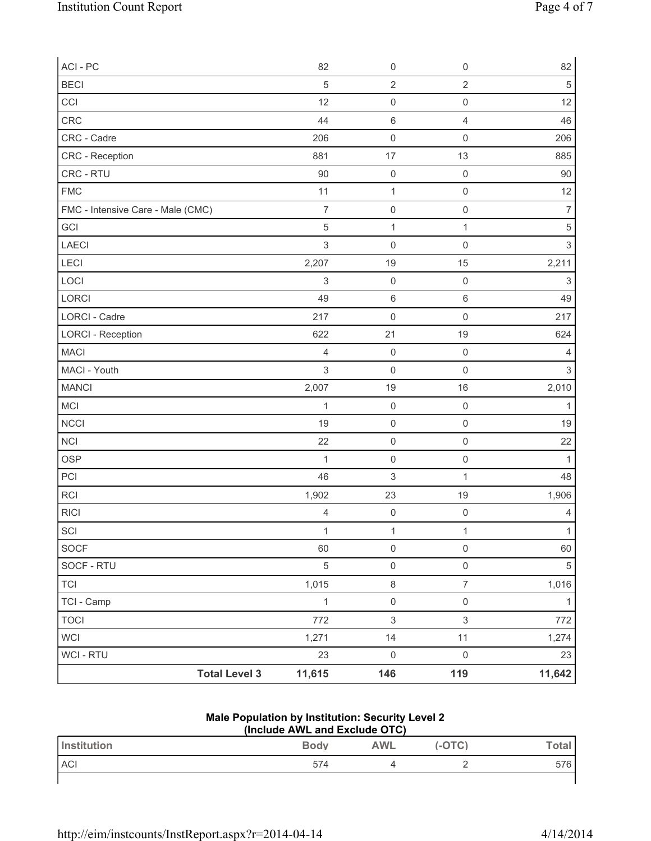| ACI - PC                          |                      | 82             | $\mathsf 0$               | $\mathsf{O}\xspace$ | 82             |
|-----------------------------------|----------------------|----------------|---------------------------|---------------------|----------------|
| <b>BECI</b>                       |                      | 5              | $\overline{2}$            | $\sqrt{2}$          | $\sqrt{5}$     |
| CCI                               |                      | 12             | $\mathsf 0$               | $\mathsf 0$         | 12             |
| CRC                               |                      | 44             | $\,6$                     | $\overline{4}$      | 46             |
| CRC - Cadre                       |                      | 206            | $\mathsf 0$               | $\mathsf 0$         | 206            |
| CRC - Reception                   |                      | 881            | 17                        | 13                  | 885            |
| CRC - RTU                         |                      | 90             | $\mathsf 0$               | $\mathsf 0$         | $90\,$         |
| <b>FMC</b>                        |                      | 11             | $\mathbf{1}$              | $\mathsf 0$         | 12             |
| FMC - Intensive Care - Male (CMC) |                      | $\overline{7}$ | $\mathsf{O}\xspace$       | $\mathsf{O}\xspace$ | $\overline{7}$ |
| GCI                               |                      | 5              | $\mathbf 1$               | $\mathbf{1}$        | $\,$ 5 $\,$    |
| LAECI                             |                      | 3              | $\mathsf{O}\xspace$       | $\mathsf{O}\xspace$ | 3              |
| <b>LECI</b>                       |                      | 2,207          | 19                        | 15                  | 2,211          |
| LOCI                              |                      | 3              | $\mathsf{O}\xspace$       | $\mathsf 0$         | 3              |
| LORCI                             |                      | 49             | $\,6\,$                   | $\,6\,$             | 49             |
| <b>LORCI - Cadre</b>              |                      | 217            | $\mathsf 0$               | $\mathbf 0$         | 217            |
| <b>LORCI - Reception</b>          |                      | 622            | 21                        | 19                  | 624            |
| <b>MACI</b>                       |                      | $\overline{4}$ | $\mathsf 0$               | $\mathsf 0$         | $\overline{4}$ |
| MACI - Youth                      |                      | 3              | $\mathsf 0$               | $\mathsf 0$         | 3              |
| <b>MANCI</b>                      |                      | 2,007          | 19                        | 16                  | 2,010          |
| MCI                               |                      | $\mathbf 1$    | $\mathsf 0$               | $\mathsf 0$         | $\mathbf{1}$   |
| NCCI                              |                      | 19             | $\mathsf{O}\xspace$       | $\mathsf 0$         | 19             |
| <b>NCI</b>                        |                      | 22             | $\mathsf{O}\xspace$       | $\mathsf{O}\xspace$ | 22             |
| OSP                               |                      | 1              | $\mathsf{O}\xspace$       | $\mathsf 0$         | $\mathbf{1}$   |
| PCI                               |                      | 46             | $\ensuremath{\mathsf{3}}$ | 1                   | 48             |
| RCI                               |                      | 1,902          | 23                        | 19                  | 1,906          |
| <b>RICI</b>                       |                      | $\overline{4}$ | $\mathbf 0$               | $\mathbf 0$         | 4              |
| SCI                               |                      | $\mathbf{1}$   | $\mathbf{1}$              | $\mathbf{1}$        | $\mathbf{1}$   |
| SOCF                              |                      | 60             | $\mathsf{O}\xspace$       | $\mathsf{O}\xspace$ | 60             |
| SOCF - RTU                        |                      | $\sqrt{5}$     | $\mathsf{O}\xspace$       | $\mathsf{O}\xspace$ | 5              |
| <b>TCI</b>                        |                      | 1,015          | $\,8\,$                   | $\overline{7}$      | 1,016          |
| TCI - Camp                        |                      | $\mathbf{1}$   | $\mathsf{O}\xspace$       | $\mathsf{O}\xspace$ | $\mathbf{1}$   |
| <b>TOCI</b>                       |                      | 772            | $\mathsf 3$               | $\sqrt{3}$          | 772            |
| WCI                               |                      | 1,271          | 14                        | 11                  | 1,274          |
| WCI - RTU                         |                      | 23             | $\mathsf{O}\xspace$       | $\mathsf{O}\xspace$ | 23             |
|                                   | <b>Total Level 3</b> | 11,615         | 146                       | 119                 | 11,642         |

## **Male Population by Institution: Security Level 2**

| (Include AWL and Exclude OTC) |             |            |        |       |
|-------------------------------|-------------|------------|--------|-------|
| <b>Institution</b>            | <b>Body</b> | <b>AWL</b> | (-OTC) | Total |
| <b>ACI</b>                    | 574         |            |        | 576   |
|                               |             |            |        |       |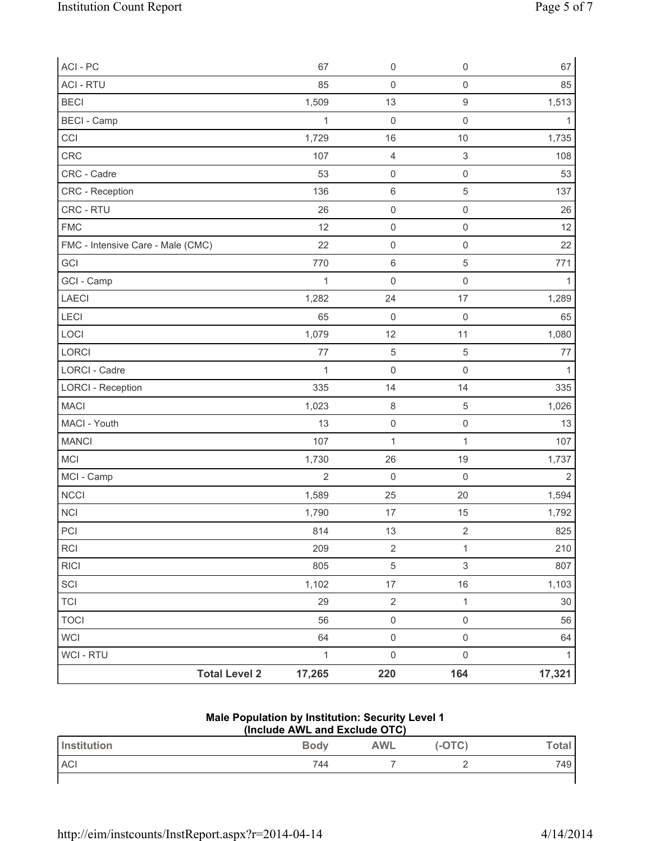| ACI - PC                          | 67             | $\mathsf{O}\xspace$ | $\mathsf 0$               | 67             |
|-----------------------------------|----------------|---------------------|---------------------------|----------------|
| <b>ACI - RTU</b>                  | 85             | $\mathsf{O}\xspace$ | $\mathsf{O}\xspace$       | 85             |
| <b>BECI</b>                       | 1,509          | 13                  | $\hbox{9}$                | 1,513          |
| <b>BECI - Camp</b>                | $\mathbf{1}$   | $\mathsf 0$         | $\mathsf{O}\xspace$       | $\mathbf{1}$   |
| CCI                               | 1,729          | 16                  | $10$                      | 1,735          |
| CRC                               | 107            | $\overline{4}$      | $\ensuremath{\mathsf{3}}$ | 108            |
| CRC - Cadre                       | 53             | $\mathsf{O}\xspace$ | $\mathsf 0$               | 53             |
| CRC - Reception                   | 136            | $\,6\,$             | $\sqrt{5}$                | 137            |
| CRC - RTU                         | 26             | $\mathsf 0$         | $\mathsf{O}\xspace$       | 26             |
| <b>FMC</b>                        | 12             | $\mathsf{O}\xspace$ | $\mathsf{O}\xspace$       | 12             |
| FMC - Intensive Care - Male (CMC) | 22             | $\mathsf{O}\xspace$ | $\mathsf{O}\xspace$       | 22             |
| GCI                               | 770            | $\,6\,$             | $\sqrt{5}$                | 771            |
| GCI - Camp                        | $\mathbf{1}$   | $\mathsf{O}\xspace$ | $\mathsf{O}\xspace$       | $\mathbf{1}$   |
| LAECI                             | 1,282          | 24                  | 17                        | 1,289          |
| <b>LECI</b>                       | 65             | $\mathsf{O}\xspace$ | $\mathsf 0$               | 65             |
| LOCI                              | 1,079          | 12                  | 11                        | 1,080          |
| LORCI                             | 77             | $\,$ 5 $\,$         | $\sqrt{5}$                | $77 \,$        |
| <b>LORCI - Cadre</b>              | $\mathbf{1}$   | $\mathsf{O}\xspace$ | $\mathsf{O}\xspace$       | $\mathbf{1}$   |
| <b>LORCI - Reception</b>          | 335            | 14                  | 14                        | 335            |
| <b>MACI</b>                       | 1,023          | $\,8\,$             | $\sqrt{5}$                | 1,026          |
| MACI - Youth                      | 13             | $\mathsf{O}\xspace$ | $\mathsf{O}\xspace$       | 13             |
| <b>MANCI</b>                      | 107            | $\mathbf{1}$        | $\mathbf{1}$              | 107            |
| <b>MCI</b>                        | 1,730          | 26                  | 19                        | 1,737          |
| MCI - Camp                        | $\overline{2}$ | $\mathsf{O}\xspace$ | $\mathsf{O}\xspace$       | $\overline{2}$ |
| <b>NCCI</b>                       | 1,589          | 25                  | 20                        | 1,594          |
| NCI                               | 1,790          | 17                  | 15                        | 1,792          |
| PCI                               | 814            | 13                  | $\sqrt{2}$                | 825            |
| RCI                               | 209            | $\sqrt{2}$          | $\mathbf 1$               | 210            |
| <b>RICI</b>                       | 805            | $\sqrt{5}$          | $\mathfrak{S}$            | 807            |
| SCI                               | 1,102          | $17$                | $16$                      | 1,103          |
| <b>TCI</b>                        | 29             | $\sqrt{2}$          | $\mathbf{1}$              | 30             |
| <b>TOCI</b>                       | 56             | $\mathsf{O}\xspace$ | $\mathsf{O}\xspace$       | 56             |
| <b>WCI</b>                        | 64             | $\mathsf{O}\xspace$ | $\mathsf{O}\xspace$       | 64             |
| WCI - RTU                         | $\mathbf{1}$   | $\mathsf{O}\xspace$ | $\mathsf{O}\xspace$       | $\mathbf{1}$   |
| <b>Total Level 2</b>              | 17,265         | 220                 | 164                       | 17,321         |

## **Male Population by Institution: Security Level 1**

| (Include AWL and Exclude OTC) |             |            |        |       |  |
|-------------------------------|-------------|------------|--------|-------|--|
| <b>Institution</b>            | <b>Body</b> | <b>AWL</b> | (-OTC) | Total |  |
| <b>ACI</b>                    | 744         |            |        | 749   |  |
|                               |             |            |        |       |  |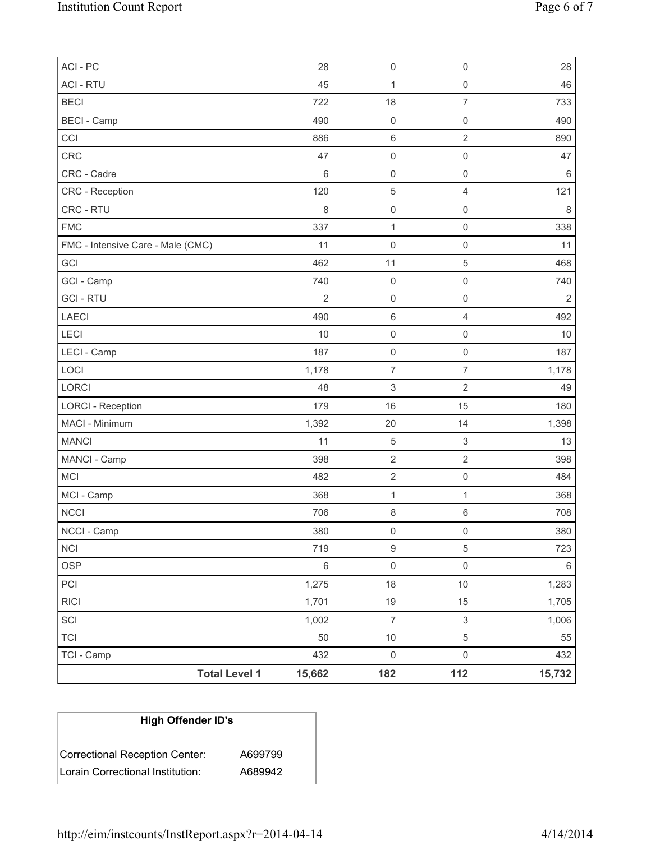| <b>Total Level 1</b>              | 15,662          | 182                       | 112                                            | 15,732     |
|-----------------------------------|-----------------|---------------------------|------------------------------------------------|------------|
| TCI - Camp                        | 432             | $\mathsf{O}\xspace$       | $\mathsf{O}\xspace$                            | 432        |
| <b>TCI</b>                        | 50              | $10$                      | $\sqrt{5}$                                     | 55         |
| SCI                               | 1,002           | $\boldsymbol{7}$          | $\,$ 3 $\,$                                    | 1,006      |
| <b>RICI</b>                       | 1,701           | 19                        | 15                                             | 1,705      |
| PCI                               | 1,275           | 18                        | $10$                                           | 1,283      |
| <b>OSP</b>                        | $\,6\,$         | $\mathsf{O}\xspace$       | $\mathsf{O}\xspace$                            | 6          |
| $\sf NCI$                         | 719             | $\boldsymbol{9}$          | $\sqrt{5}$                                     | 723        |
| NCCI - Camp                       | 380             | $\mathsf{O}\xspace$       | 0                                              | 380        |
| <b>NCCI</b>                       | 706             | $\,8\,$                   | $\,6\,$                                        | 708        |
| MCI - Camp                        | 368             | $\mathbf{1}$              | $\mathbf{1}$                                   | 368        |
| MCI                               | 482             | $\mathbf 2$               | $\mathsf{O}\xspace$                            | 484        |
| MANCI - Camp                      | 398             | $\overline{2}$            | $\sqrt{2}$                                     | 398        |
| <b>MANCI</b>                      | 11              | 5                         | $\ensuremath{\mathsf{3}}$                      | 13         |
| MACI - Minimum                    | 1,392           | 20                        | 14                                             | 1,398      |
| <b>LORCI - Reception</b>          | 179             | 16                        | 15                                             | 180        |
| LORCI                             | 48              | $\ensuremath{\mathsf{3}}$ | $\sqrt{2}$                                     | 49         |
| LOCI                              | 1,178           | $\overline{7}$            | $\overline{7}$                                 | 1,178      |
| LECI - Camp                       | 187             | $\mathsf 0$               | $\mathsf{O}\xspace$                            | 187        |
| LECI                              | 10              | $\mathsf{O}\xspace$       | $\boldsymbol{0}$                               | 10         |
| LAECI                             | 490             | $\,6\,$                   | 4                                              | 492        |
| <b>GCI - RTU</b>                  | $\overline{2}$  | $\mathsf 0$               | $\mathsf{O}\xspace$                            | $\sqrt{2}$ |
| GCI - Camp                        | 740             | $\mathsf 0$               | $\boldsymbol{0}$                               | 740        |
| GCI                               | 462             | 11                        | $\sqrt{5}$                                     | 468        |
| FMC - Intensive Care - Male (CMC) | 11              | $\mathsf{O}\xspace$       | $\mathsf{O}\xspace$                            | 11         |
| <b>FMC</b>                        | 337             | $\mathbf{1}$              | $\mathsf{O}\xspace$                            | 338        |
| CRC - RTU                         | 8               | $\mathsf{O}\xspace$       | $\mathsf{O}\xspace$                            | $\,8\,$    |
| CRC - Reception                   | 120             | 5                         | 4                                              | 121        |
| CRC - Cadre                       | $6\phantom{1}6$ | $\mathsf{O}\xspace$       | $\mathbf 0$                                    | $\,6\,$    |
| CRC                               | 47              | $\mathsf{O}\xspace$       | $\mathsf{O}\xspace$                            | 47         |
| <b>BECI</b> - Camp<br>CCI         | 886             | $\,6\,$                   | $\mathsf{O}\xspace$<br>$\overline{\mathbf{c}}$ | 490<br>890 |
|                                   | 490             | $\mathsf 0$               |                                                |            |
| <b>ACI - RTU</b><br><b>BECI</b>   | 45<br>722       | 1<br>18                   | $\mathsf{O}\xspace$<br>$\overline{7}$          | 46<br>733  |
|                                   |                 |                           |                                                |            |
| ACI - PC                          | 28              | $\mathsf{O}\xspace$       | $\mathsf{O}\xspace$                            | 28         |

# **High Offender ID's**

| Correctional Reception Center:   | A699799 |
|----------------------------------|---------|
| Lorain Correctional Institution: | A689942 |